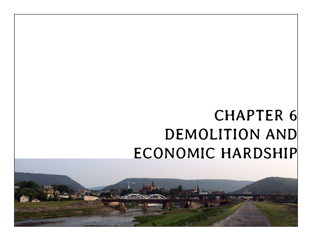# CHAPTER 6 DEMOLITION AND ECONOMIC HARDSHIP

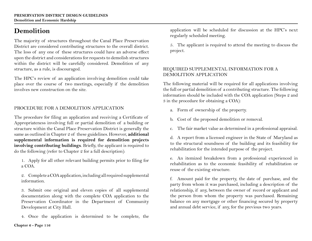# **Demolition**

The majority of structures throughout the Canal Place Preservation District are considered contributing structures to the overall district. The loss of any one of these structures could have an adverse effect upon the district and considerations for requests to demolish structures within the district will be carefully considered. Demolition of any structure, as a rule, is discouraged.

The HPC's review of an application involving demolition could take place over the course of two meetings, especially if the demolition involves new construction on the site.

## PROCEDURE FOR A DEMOLITION APPLICATION

The procedure for filing an application and receiving a Certificate of Appropriateness involving full or partial demolition of a building or structure within the Canal Place Preservation District is generally the same as outlined in Chapter 2 of these guidelines. However, **additional supplemental information is required for demolition projects involving contributing buildings**. Briefly, the applicant is required to do the following (refer to Chapter 2 for a full description):

1. Apply for all other relevant building permits prior to filing for a COA.

2. Complete a COA application, including all required supplemental information.

3. Submit one original and eleven copies of all supplemental documentation along with the complete COA application to the Preservation Coordinator in the Department of Community Development at City Hall.

4. Once the application is determined to be complete, the

application will be scheduled for discussion at the HPC's next regularly scheduled meeting.

5. The applicant is required to attend the meeting to discuss the project.

#### REQUIRED SUPPLEMENTAL INFORMATION FOR A DEMOLITION APPLICATION

The following material will be required for all applications involving the full or partial demolition of a contributing structure. The following information should be included with the COA application (Steps 2 and 3 in the procedure for obtaining a COA):

- a. Form of ownership of the property.
- b. Cost of the proposed demolition or removal.
- c. The fair market value as determined in a professional appraisal.

d. A report from a licensed engineer in the State of Maryland as to the structural soundness of the building and its feasibility for rehabilitation for the intended purpose of the project.

e. An itemized breakdown from a professional experienced in rehabilitation as to the economic feasibility of rehabilitation or reuse of the existing structure.

f. Amount paid for the property, the date of purchase, and the party from whom it was purchased, including a description of the relationship, if any, between the owner of record or applicant and the person from whom the property was purchased. Remaining balance on any mortgage or other financing secured by property and annual debt service, if any, for the previous two years.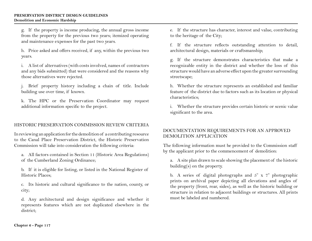g. If the property is income producing, the annual gross income from the property for the previous two years; itemized operating and maintenance expenses for the past two years.

h. Price asked and offers received, if any, within the previous two years.

i. A list of alternatives (with costs involved, names of contractors and any bids submitted) that were considered and the reasons why those alternatives were rejected.

j. Brief property history including a chain of title. Include building use over time, if known.

k. The HPC or the Preservation Coordinator may request additional information specific to the project.

#### HISTORIC PRESERVATION COMMISSION REVIEW CRITERIA

In reviewing an application for the demolition of a contributing resource to the Canal Place Preservation District, the Historic Preservation Commission will take into consideration the following criteria:

a. All factors contained in Section 11 (Historic Area Regulations) of the Cumberland Zoning Ordinance;

b. If it is eligible for listing, or listed in the National Register of Historic Places;

c. Its historic and cultural significance to the nation, county, or city;

d. Any architectural and design significance and whether it represents features which are not duplicated elsewhere in the district;

e. If the structure has character, interest and value, contributing to the heritage of the City;

f. If the structure reflects outstanding attention to detail, architectural design, materials or craftsmanship;

g. If the structure demonstrates characteristics that make a recognizable entity in the district and whether the loss of this structure would have an adverse effect upon the greater surrounding streetscape;

h. Whether the structure represents an established and familiar feature of the district due to factors such as its location or physical characteristics;

i. Whether the structure provides certain historic or scenic value significant to the area.

#### DOCUMENTATION REQUIREMENTS FOR AN APPROVED DEMOLITION APPLICATION

The following information must be provided to the Commission staff by the applicant prior to the commencement of demolition:

a. A site plan drawn to scale showing the placement of the historic building(s) on the property.

b. A series of digital photographs and 5" x 7" photographic prints on archival paper depicting all elevations and angles of the property (front, rear, sides), as well as the historic building or structure in relation to adjacent buildings or structures. All prints must be labeled and numbered.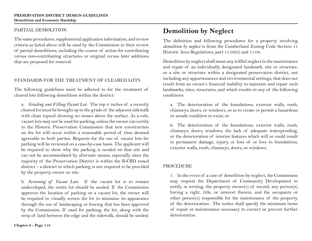#### PARTIAL DEMOLITION

The same procedures, supplemental application information, and review criteria as listed above will be used by the Commission in their review of partial demolitions, including the course of action for contributing versus non-contributing structures or original versus later additions that are proposed for removal.

### STANDARDS FOR THE TREATMENT OF CLEARED LOTS

The following guidelines must be adhered to for the treatment of cleared lots following demolition within the district:

a. *Grading and Filling Vacant Lot*: The top 6 inches of a recently cleared lot must be brought up to the grade of the adjacent sidewalk with clean topsoil showing no stones above the surface. As a rule, vacant lots may not be used for parking, unless the owner can certify to the Historic Preservation Commission that new construction on the lot will occur within a reasonable period of time deemed agreeable to both parties. Requests for the use of vacant lots for parking will be reviewed on a case-by-case basis. The applicant will be required to show why the parking is needed on that site and can not be accommodated by alternate means, especially since the majority of the Preservation District is within the B-CBD zoned district – a district in which parking is not required to be provided by the property owner on site.

b. *Screening of Vacant Lots*: If the vacant lot is to remain undeveloped, the entire lot should be seeded. If the Commission approves the location of parking on a vacant lot, the owner will be required to visually screen the lot to minimize its appearance through the use of landscaping or fencing that has been approved by the Commission. If used for parking, the lot, along with the strip of land between the edge and the sidewalk, should be seeded.

## **Demolition by Neglect**

The definition and following procedures for a property involving *demolition by neglect* is from the Cumberland Zoning Code Section 11 Historic Area Regulations, part 11.03(6) and 11.08.

Demolition by neglect shall mean any willful neglect in the maintenance and repair of an individually designated landmark, site or structure, or a site or structure within a designated preservation district, not including any appurtenances and environmental settings, that does not result from an owner's financial inability to maintain and repair such landmarks, sites, structures, and which results in any of the following conditions:

a. The deterioration of the foundations, exterior walls, roofs, chimneys, doors, or windows, so as to create or permit a hazardous or unsafe condition to exist; or

b. The deterioration of the foundations, exterior walls, roofs, chimneys, doors, windows, the lack of adequate waterproofing, or the deterioration of interior features which will or could result in permanent damage, injury, or loss of or loss to foundations, exterior walls, roofs, chimneys, doors, or windows.

#### **PROCEDURE**

1. In the event of a case of demolition by neglect, the Commission may request the Department of Community Development to notify, in writing, the property owner(s) of record, any person(s) having a right, title, or interest therein, and the occupants or other person(s) responsible for the maintenance of the property, of the deterioration. The notice shall specify the minimum items of repair or maintenance necessary to correct or prevent further deterioration.